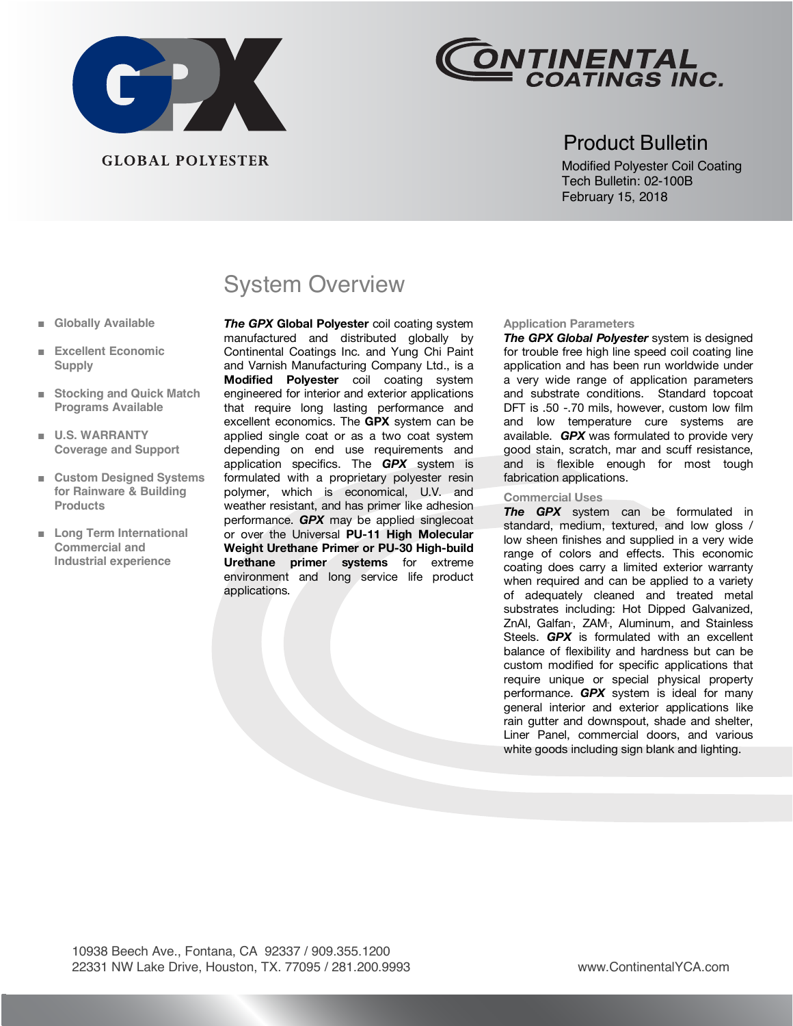



### Product Bulletin

Modified Polyester Coil Coating Tech Bulletin: 02-100B February 15, 2018

## System Overview

*The GPX* **Global Polyester** coil coating system manufactured and distributed globally by Continental Coatings Inc. and Yung Chi Paint and Varnish Manufacturing Company Ltd., is a **Modified Polyester** coil coating system engineered for interior and exterior applications that require long lasting performance and excellent economics. The **GPX** system can be applied single coat or as a two coat system depending on end use requirements and application specifics. The *GPX* system is formulated with a proprietary polyester resin polymer, which is economical, U.V. and weather resistant, and has primer like adhesion performance. *GPX* may be applied singlecoat or over the Universal **PU-11 High Molecular Weight Urethane Primer or PU-30 High-build Urethane primer systems** for extreme environment and long service life product applications.

#### **Application Parameters**

*The GPX Global Polyester* system is designed for trouble free high line speed coil coating line application and has been run worldwide under a very wide range of application parameters and substrate conditions. Standard topcoat DFT is .50 -.70 mils, however, custom low film and low temperature cure systems are available. *GPX* was formulated to provide very good stain, scratch, mar and scuff resistance, and is flexible enough for most tough fabrication applications.

#### **Commercial Uses**

**The GPX** system can be formulated in standard, medium, textured, and low gloss / low sheen finishes and supplied in a very wide range of colors and effects. This economic coating does carry a limited exterior warranty when required and can be applied to a variety of adequately cleaned and treated metal substrates including: Hot Dipped Galvanized, ZnAI, Galfan, ZAM, Aluminum, and Stainless Steels. *GPX* is formulated with an excellent balance of flexibility and hardness but can be custom modified for specific applications that require unique or special physical property performance. *GPX* system is ideal for many general interior and exterior applications like rain gutter and downspout, shade and shelter, Liner Panel, commercial doors, and various white goods including sign blank and lighting.

- **■ Globally Available**
- **Excellent Economic Supply**
- **■ Stocking and Quick Match Programs Available**
- **■ U.S. WARRANTY Coverage and Support**
- **■ Custom Designed Systems for Rainware & Building Products**
- **■ Long Term International Commercial and Industrial experience**

 10938 Beech Ave., Fontana, CA 92337 / 909.355.1200 22331 NW Lake Drive, Houston, TX. 77095 / 281.200.9993 www.ContinentalYCA.com